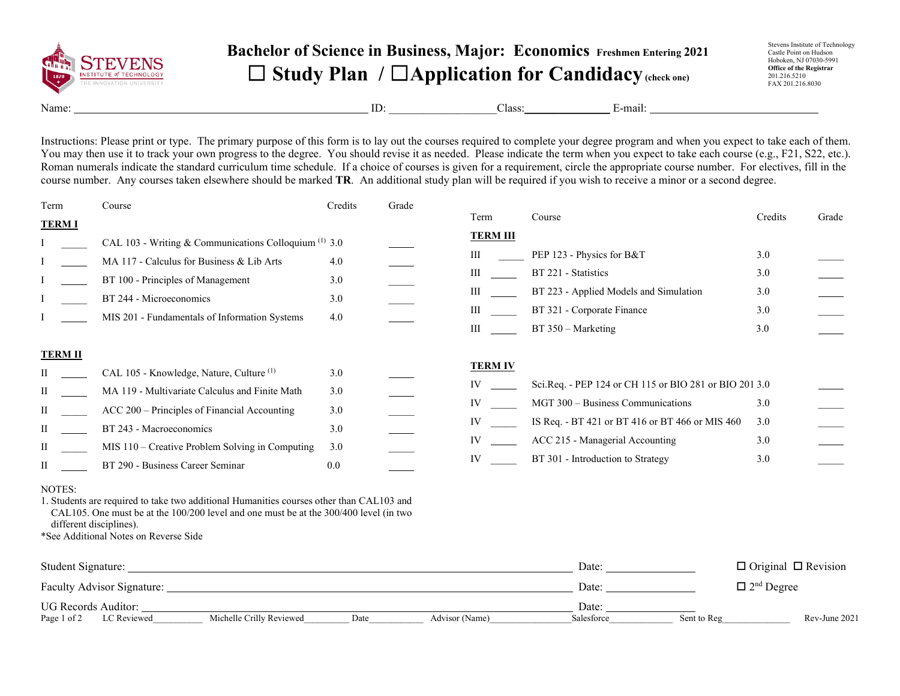

## **Bachelor of Science in Business, Major: Economics Freshmen Entering 2021** ☐ **Study Plan /** ☐**Application for Candidacy(check one)**

Stevens Institute of Technology Castle Point on Hudson Hoboken, NJ 07030-5991 **Office of the Registrar** 201.216.5210 FAX 201.216.8030

Name: E-mail: ID: Class: E-mail:

Instructions: Please print or type. The primary purpose of this form is to lay out the courses required to complete your degree program and when you expect to take each of them. You may then use it to track your own progress to the degree. You should revise it as needed. Please indicate the term when you expect to take each course (e.g., F21, S22, etc.). Roman numerals indicate the standard curriculum time schedule. If a choice of courses is given for a requirement, circle the appropriate course number. For electives, fill in the course number. Any courses taken elsewhere should be marked **TR**. An additional study plan will be required if you wish to receive a minor or a second degree.

| Term                                                                                                                                                                                                                       | Course                                                           | Credits | Grade |                 |                                                        |         |       |  |
|----------------------------------------------------------------------------------------------------------------------------------------------------------------------------------------------------------------------------|------------------------------------------------------------------|---------|-------|-----------------|--------------------------------------------------------|---------|-------|--|
| <b>TERMI</b>                                                                                                                                                                                                               |                                                                  |         |       | Term            | Course                                                 | Credits | Grade |  |
|                                                                                                                                                                                                                            | CAL 103 - Writing & Communications Colloquium <sup>(1)</sup> 3.0 |         |       | <b>TERM III</b> |                                                        |         |       |  |
|                                                                                                                                                                                                                            | MA 117 - Calculus for Business & Lib Arts                        | 4.0     |       | Ш               | PEP 123 - Physics for B&T                              | 3.0     |       |  |
|                                                                                                                                                                                                                            | BT 100 - Principles of Management                                | 3.0     |       | Ш               | BT 221 - Statistics                                    | 3.0     |       |  |
|                                                                                                                                                                                                                            | BT 244 - Microeconomics                                          | 3.0     |       | Ш               | BT 223 - Applied Models and Simulation                 | 3.0     |       |  |
|                                                                                                                                                                                                                            | MIS 201 - Fundamentals of Information Systems                    | 4.0     |       | Ш               | BT 321 - Corporate Finance                             | 3.0     |       |  |
|                                                                                                                                                                                                                            |                                                                  |         |       | Ш               | $BT 350 - Marketing$                                   | 3.0     |       |  |
| <b>TERM II</b>                                                                                                                                                                                                             |                                                                  |         |       |                 |                                                        |         |       |  |
|                                                                                                                                                                                                                            | CAL 105 - Knowledge, Nature, Culture <sup>(1)</sup>              | 3.0     |       | <b>TERM IV</b>  |                                                        |         |       |  |
| П                                                                                                                                                                                                                          | MA 119 - Multivariate Calculus and Finite Math                   | 3.0     |       | IV              | Sci.Req. - PEP 124 or CH 115 or BIO 281 or BIO 201 3.0 |         |       |  |
| П                                                                                                                                                                                                                          | ACC 200 – Principles of Financial Accounting                     | 3.0     |       | IV              | MGT 300 - Business Communications                      | 3.0     |       |  |
| П                                                                                                                                                                                                                          | BT 243 - Macroeconomics                                          | 3.0     |       | IV              | IS Req. - BT 421 or BT 416 or BT 466 or MIS 460        | 3.0     |       |  |
| П                                                                                                                                                                                                                          | MIS 110 - Creative Problem Solving in Computing                  | 3.0     |       | IV              | ACC 215 - Managerial Accounting                        | 3.0     |       |  |
|                                                                                                                                                                                                                            | BT 290 - Business Career Seminar                                 | 0.0     |       | IV              | BT 301 - Introduction to Strategy                      | 3.0     |       |  |
| NOTES:<br>1. Students are required to take two additional Humanities courses other than CAL103 and<br>CAL105. One must be at the $100/200$ level and one must be at the $300/400$ level (in two<br>different disciplines). |                                                                  |         |       |                 |                                                        |         |       |  |

\*See Additional Notes on Reverse Side

| Student Signature:         |                          |      |                | Date:      |             | $\Box$ Original $\Box$ Revision |
|----------------------------|--------------------------|------|----------------|------------|-------------|---------------------------------|
| Faculty Advisor Signature: |                          |      |                | Date:      |             | $\Box$ 2 <sup>nd</sup> Degree   |
| UG Records Auditor:        |                          |      |                | Date:      |             |                                 |
| Page 1 of 2<br>LC Reviewed | Michelle Crilly Reviewed | Date | Advisor (Name) | Salesforce | Sent to Reg | Rev-June 2021                   |